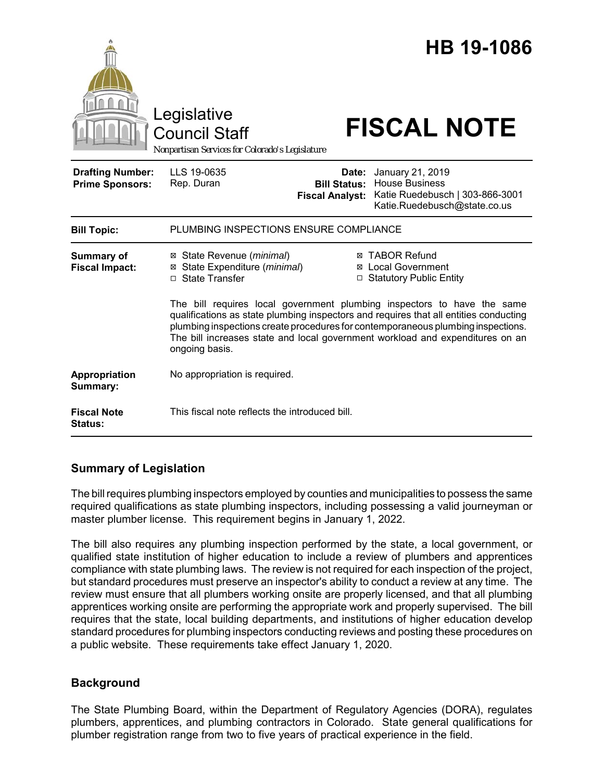|                                                   | Legislative<br><b>Council Staff</b><br>Nonpartisan Services for Colorado's Legislature                    |                                                        | HB 19-1086<br><b>FISCAL NOTE</b>                                                                                                                                                                                                                                                                                                                                                                                         |
|---------------------------------------------------|-----------------------------------------------------------------------------------------------------------|--------------------------------------------------------|--------------------------------------------------------------------------------------------------------------------------------------------------------------------------------------------------------------------------------------------------------------------------------------------------------------------------------------------------------------------------------------------------------------------------|
| <b>Drafting Number:</b><br><b>Prime Sponsors:</b> | LLS 19-0635<br>Rep. Duran                                                                                 | Date:<br><b>Bill Status:</b><br><b>Fiscal Analyst:</b> | January 21, 2019<br><b>House Business</b><br>Katie Ruedebusch   303-866-3001<br>Katie.Ruedebusch@state.co.us                                                                                                                                                                                                                                                                                                             |
| <b>Bill Topic:</b>                                | PLUMBING INSPECTIONS ENSURE COMPLIANCE                                                                    |                                                        |                                                                                                                                                                                                                                                                                                                                                                                                                          |
| <b>Summary of</b><br><b>Fiscal Impact:</b>        | ⊠ State Revenue ( <i>minimal</i> )<br>⊠ State Expenditure (minimal)<br>□ State Transfer<br>ongoing basis. |                                                        | <b>⊠ TABOR Refund</b><br><b>⊠</b> Local Government<br>□ Statutory Public Entity<br>The bill requires local government plumbing inspectors to have the same<br>qualifications as state plumbing inspectors and requires that all entities conducting<br>plumbing inspections create procedures for contemporaneous plumbing inspections.<br>The bill increases state and local government workload and expenditures on an |
| Appropriation<br>Summary:                         | No appropriation is required.                                                                             |                                                        |                                                                                                                                                                                                                                                                                                                                                                                                                          |
| <b>Fiscal Note</b><br><b>Status:</b>              | This fiscal note reflects the introduced bill.                                                            |                                                        |                                                                                                                                                                                                                                                                                                                                                                                                                          |

# **Summary of Legislation**

The bill requires plumbing inspectors employed by counties and municipalities to possess the same required qualifications as state plumbing inspectors, including possessing a valid journeyman or master plumber license. This requirement begins in January 1, 2022.

The bill also requires any plumbing inspection performed by the state, a local government, or qualified state institution of higher education to include a review of plumbers and apprentices compliance with state plumbing laws. The review is not required for each inspection of the project, but standard procedures must preserve an inspector's ability to conduct a review at any time. The review must ensure that all plumbers working onsite are properly licensed, and that all plumbing apprentices working onsite are performing the appropriate work and properly supervised. The bill requires that the state, local building departments, and institutions of higher education develop standard procedures for plumbing inspectors conducting reviews and posting these procedures on a public website. These requirements take effect January 1, 2020.

# **Background**

The State Plumbing Board, within the Department of Regulatory Agencies (DORA), regulates plumbers, apprentices, and plumbing contractors in Colorado. State general qualifications for plumber registration range from two to five years of practical experience in the field.